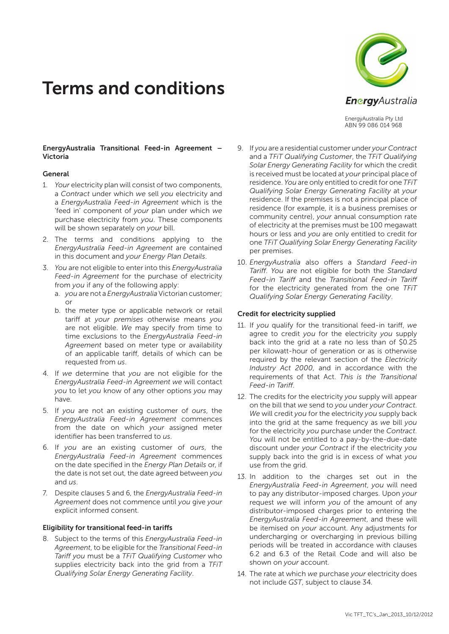# Terms and conditions



EnergyAustralia Pty Ltd ABN 99 086 014 968

#### EnergyAustralia Transitional Feed-in Agreement – Victoria

#### General

- 1. *Your* electricity plan will consist of two components, a *Contract* under which *we* sell *you* electricity and a *EnergyAustralia Feed-in Agreement* which is the 'feed in' component of *your* plan under which *we* purchase electricity from *you*. These components will be shown separately on *your* bill.
- 2. The terms and conditions applying to the *EnergyAustralia Feed-in Agreement* are contained in this document and *your Energy Plan Details*.
- 3. *You* are not eligible to enter into this *EnergyAustralia Feed-in Agreement* for the purchase of electricity from *you* if any of the following apply:
	- a. *you* are not a *EnergyAustralia* Victorian customer; or
	- b. the meter type or applicable network or retail tariff at *your premises* otherwise means *you* are not eligible. *We* may specify from time to time excl*us*ions to the *EnergyAustralia Feed-in Agreement* based on meter type or availability of an applicable tariff, details of which can be requested from *us*.
- 4. If *we* determine that *you* are not eligible for the *EnergyAustralia Feed-in Agreement we* will contact *you* to let *you* know of any other options *you* may have.
- 5. If *you* are not an existing customer of *ours*, the *EnergyAustralia Feed-in Agreement* commences from the date on which *your* assigned meter identifier has been transferred to *us*.
- 6. If *you* are an existing customer of *ours*, the *EnergyAustralia Feed-in Agreement* commences on the date specified in the *Energy Plan Details* or, if the date is not set out, the date agreed between *you* and *us*.
- 7. Despite clauses 5 and 6, the *EnergyAustralia Feed-in Agreement* does not commence until *you* give *your* explicit informed consent.

#### Eligibility for transitional feed-in tariffs

8. Subject to the terms of this *EnergyAustralia Feed-in Agreement*, to be eligible for the *Transitional Feed-in Tariff you* must be a *TFiT Qualifying Customer* who supplies electricity back into the grid from a *TFiT Qualifying Solar Energy Generating Facility*.

- 9. If *you* are a residential customer under *your Contract* and a *TFiT Qualifying Customer*, the *TFiT Qualifying Solar Energy Generating Facility* for which the credit is received must be located at *your* principal place of residence. *You* are only entitled to credit for one *TFiT Qualifying Solar Energy Generating Facility* at *your* residence. If the premises is not a principal place of residence (for example, it is a business premises or community centre), *your* annual consumption rate of electricity at the premises must be 100 megawatt hours or less and *you* are only entitled to credit for one *TFiT Qualifying Solar Energy Generating Facility*  per premises.
- 10. *EnergyAustralia* also offers a *Standard Feed-in Tariff*. *You* are not eligible for both the *Standard Feed-in Tariff* and the *Transitional Feed-in Tariff* for the electricity generated from the one *TFiT Qualifying Solar Energy Generating Facility*.

# Credit for electricity supplied

- 11. If *you* qualify for the transitional feed-in tariff, *we* agree to credit *you* for the electricity *you* supply back into the grid at a rate no less than of \$0.25 per kilowatt-hour of generation or as is otherwise required by the relevant section of the *Electricity Industry Act 2000*, and in accordance with the requirements of that Act. *This is the Transitional Feed-in Tariff*.
- 12. The credits for the electricity *you* supply will appear on the bill that *we* send to *you* under *your Contract*. *We* will credit *you* for the electricity *you* supply back into the grid at the same frequency as *we* bill *you* for the electricity *you* purchase under the *Contract*. *You* will not be entitled to a pay-by-the-due-date discount under *your Contract* if the electricity *you* supply back into the grid is in excess of what *you* use from the grid.
- 13. In addition to the charges set out in the *EnergyAustralia Feed-in Agreement*, *you* will need to pay any distributor-imposed charges. Upon *your* request *we* will inform *you* of the amount of any distributor-imposed charges prior to entering the *EnergyAustralia Feed-in Agreement*, and these will be itemised on *your* account. Any adjustments for undercharging or overcharging in previous billing periods will be treated in accordance with clauses 6.2 and 6.3 of the Retail Code and will also be shown on *your* account.
- 14. The rate at which *we* purchase *your* electricity does not include *GST*, subject to clause 34.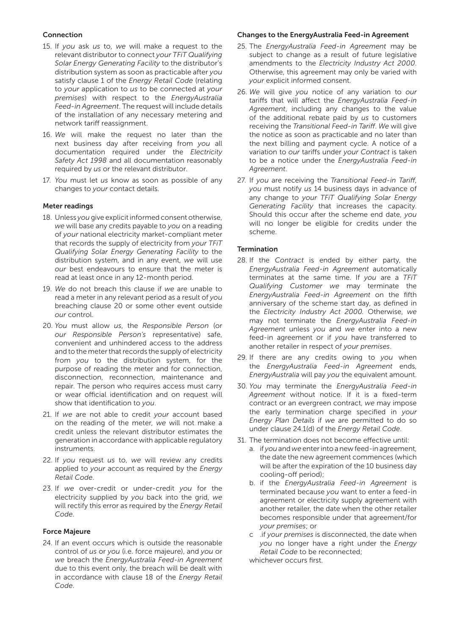## Connection

- 15. If *you* ask *us* to, *we* will make a request to the relevant distributor to connect *your TFiT Qualifying Solar Energy Generating Facility* to the distributor's distribution system as soon as practicable after *you* satisfy clause 1 of the *Energy Retail Code* (relating to *your* application to *us* to be connected at *your premises*) with respect to the *EnergyAustralia Feed-in Agreement*. The request will include details of the installation of any necessary metering and network tariff reassignment.
- 16. *We* will make the request no later than the next business day after receiving from *you* all documentation required under the *Electricity Safety Act 1998* and all documentation reasonably required by *us* or the relevant distributor.
- 17. *You* must let *us* know as soon as possible of any changes to *your* contact details.

## Meter readings

- 18. Unless *you* give explicit informed consent otherwise, *we* will base any credits payable to *you* on a reading of *your* national electricity market-compliant meter that records the supply of electricity from *your TFiT Qualifying Solar Energy Generating Facility* to the distribution system, and in any event, *we* will use *our* best endeavours to ensure that the meter is read at least once in any 12-month period.
- 19. *We* do not breach this clause if *we* are unable to read a meter in any relevant period as a result of *you* breaching clause 20 or some other event outside *our* control.
- 20. *You* must allow *us*, the *Responsible Person* (or *our Responsible Person's* representative) safe, convenient and unhindered access to the address and to the meter that records the supply of electricity from *you* to the distribution system, for the purpose of reading the meter and for connection, disconnection, reconnection, maintenance and repair. The person who requires access must carry or wear official identification and on request will show that identification to *you*.
- 21. If *we* are not able to credit *your* account based on the reading of the meter, *we* will not make a credit unless the relevant distributor estimates the generation in accordance with applicable regulatory instruments.
- 22. If *you* request *us* to, *we* will review any credits applied to *your* account as required by the *Energy Retail Code*.
- 23. If *we* over-credit or under-credit *you* for the electricity supplied by *you* back into the grid, *we* will rectify this error as required by the *Energy Retail Code*.

#### Force Majeure

24. If an event occurs which is outside the reasonable control of *us* or *you* (i.e. force majeure), and *you* or *we* breach the *EnergyAustralia Feed-in Agreement* due to this event only, the breach will be dealt with in accordance with clause 18 of the *Energy Retail Code*.

# Changes to the EnergyAustralia Feed-in Agreement

- 25. The *EnergyAustralia Feed-in Agreement* may be subject to change as a result of future legislative amendments to the *Electricity Industry Act 2000*. Otherwise, this agreement may only be varied with *your* explicit informed consent.
- 26. *We* will give *you* notice of any variation to *our* tariffs that will affect the *EnergyAustralia Feed-in Agreement*, including any changes to the value of the additional rebate paid by *us* to customers receiving the *Transitional Feed-in Tariff*. *We* will give the notice as soon as practicable and no later than the next billing and payment cycle. A notice of a variation to *our* tariffs under *your Contract* is taken to be a notice under the *EnergyAustralia Feed-in Agreement*.
- 27. If *you* are receiving the *Transitional Feed-in Tariff*, *you* must notify *us* 14 business days in advance of any change to *your TFiT Qualifying Solar Energy Generating Facility* that increases the capacity. Should this occur after the scheme end date, *you* will no longer be eligible for credits under the scheme.

## **Termination**

- 28. If the *Contract* is ended by either party, the *EnergyAustralia Feed-in Agreement* automatically terminates at the same time. If *you* are a *TFiT Qualifying Customer we* may terminate the *EnergyAustralia Feed-in Agreement* on the fifth anniversary of the scheme start day, as defined in the *Electricity Industry Act 2000.* Otherwise, *we* may not terminate the *EnergyAustralia Feed-in Agreement* unless *you* and *we* enter into a new feed-in agreement or if *you* have transferred to another retailer in respect of *your premises*.
- 29. If there are any credits owing to *you* when the *EnergyAustralia Feed-in Agreement* ends, *EnergyAustralia* will pay *you* the equivalent amount.
- 30. *You* may terminate the *EnergyAustralia Feed-in Agreement* without notice. If it is a fixed-term contract or an evergreen contract, *we* may impose the early termination charge specified in *your Energy Plan Details* if *we* are permitted to do so under clause 24.1(d) of the *Energy Retail Code*.
- 31. The termination does not become effective until:
	- a. if *you* and *we* enter into a new feed-in agreement, the date the new agreement commences (which will be after the expiration of the 10 business day cooling-off period);
	- b. if the *EnergyAustralia Feed-in Agreement* is terminated because *you* want to enter a feed-in agreement or electricity supply agreement with another retailer, the date when the other retailer becomes responsible under that agreement/for *your premises*; or
	- c .if *your premises* is disconnected, the date when *you* no longer have a right under the *Energy Retail Code* to be reconnected;

whichever occurs first.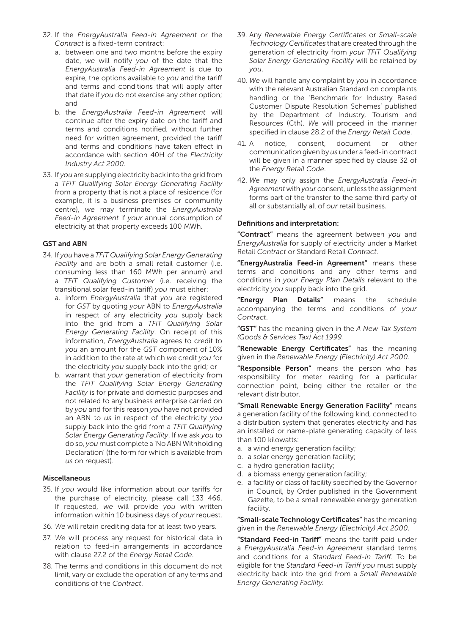- 32. If the *EnergyAustralia Feed-in Agreement* or the *Contract* is a fixed-term contract:
	- a. between one and two months before the expiry date, *we* will notify *you* of the date that the *EnergyAustralia Feed-in Agreement* is due to expire, the options available to *you* and the tariff and terms and conditions that will apply after that date if *you* do not exercise any other option; and
	- b. the *EnergyAustralia Feed-in Agreement* will continue after the expiry date on the tariff and terms and conditions notified, without further need for written agreement, provided the tariff and terms and conditions have taken effect in accordance with section 40H of the *Electricity Industry Act 2000.*
- 33. If *you* are supplying electricity back into the grid from a *TFiT Qualifying Solar Energy Generating Facility* from a property that is not a place of residence (for example, it is a business premises or community centre), *we* may terminate the *EnergyAustralia Feed-in Agreement* if *your* annual consumption of electricity at that property exceeds 100 MWh.

#### GST and ABN

- 34. If *you* have a *TFiT Qualifying Solar Energy Generating Facility* and are both a small retail customer (i.e. consuming less than 160 MWh per annum) and a *TFiT Qualifying Customer* (i.e. receiving the transitional solar feed-in tariff) *you* must either:
	- a. inform *EnergyAustralia* that *you* are registered for *GST* by quoting *your* ABN to *EnergyAustralia*  in respect of any electricity *you* supply back into the grid from a *TFiT Qualifying Solar Energy Generating Facility*. On receipt of this information, *EnergyAustralia* agrees to credit to *you* an amount for the *GST* component of 10% in addition to the rate at which *we* credit *you* for the electricity *you* supply back into the grid; or
	- b. warrant that *your* generation of electricity from the *TFiT Qualifying Solar Energy Generating Facility* is for private and domestic purposes and not related to any business enterprise carried on by *you* and for this reason *you* have not provided an ABN to *us* in respect of the electricity *you* supply back into the grid from a *TFiT Qualifying Solar Energy Generating Facility*. If *we* ask *you* to do so, *you* must complete a 'No ABN Withholding Declaration' (the form for which is available from *us* on request).

#### Miscellaneous

- 35. If *you* would like information about *our* tariffs for the purchase of electricity, please call 133 466. If requested, *we* will provide *you* with written information within 10 business days of *your* request.
- 36. *We* will retain crediting data for at least two years.
- 37. *We* will process any request for historical data in relation to feed-in arrangements in accordance with clause 27.2 of the *Energy Retail Code*.
- 38. The terms and conditions in this document do not limit, vary or exclude the operation of any terms and conditions of the *Contract*.
- 39. Any *Renewable Energy Certificates* or *Small-scale Technology Certificates* that are created through the generation of electricity from *your TFiT Qualifying Solar Energy Generating Facility* will be retained by *you*.
- 40. *We* will handle any complaint by *you* in accordance with the relevant Australian Standard on complaints handling or the 'Benchmark for Industry Based Customer Dispute Resolution Schemes' published by the Department of Industry, Tourism and Resources (Cth). *We* will proceed in the manner specified in clause 28.2 of the *Energy Retail Code*.
- 41. A notice, consent, document or other communication given by *us* under a feed-in contract will be given in a manner specified by clause 32 of the *Energy Retail Code*.
- 42. *We* may only assign the *EnergyAustralia Feed-in Agreement* with *your* consent, unless the assignment forms part of the transfer to the same third party of all or substantially all of *our* retail business.

#### Definitions and interpretation:

"Contract" means the agreement between *you* and *EnergyAustralia* for supply of electricity under a Market Retail *Contract* or Standard Retail *Contract*.

"EnergyAustralia Feed-in Agreement" means these terms and conditions and any other terms and conditions in *your Energy Plan Details* relevant to the electricity *you* supply back into the grid.

"Energy Plan Details" means the schedule accompanying the terms and conditions of *your Contract*.

"GST" has the meaning given in the *A New Tax System (Goods & Services Tax) Act 1999.*

"Renewable Energy Certificates" has the meaning given in the *Renewable Energy (Electricity) Act 2000*.

"Responsible Person" means the person who has responsibility for meter reading for a particular connection point, being either the retailer or the relevant distributor.

"Small Renewable Energy Generation Facility" means a generation facility of the following kind, connected to a distribution system that generates electricity and has an installed or name-plate generating capacity of less than 100 kilowatts:

- a. a wind energy generation facility;
- b. a solar energy generation facility;
- c. a hydro generation facility;
- d. a biomass energy generation facility;
- e. a facility or class of facility specified by the Governor in Council, by Order published in the Government Gazette, to be a small renewable energy generation facility.

"Small-scale Technology Certificates" has the meaning given in the *Renewable Energy (Electricity) Act 2000*.

"Standard Feed-in Tariff" means the tariff paid under a *EnergyAustralia Feed-in Agreement* standard terms and conditions for a *Standard Feed-in Tariff*. To be eligible for the *Standard Feed-in Tariff you* must supply electricity back into the grid from a *Small Renewable Energy Generating Facility.*